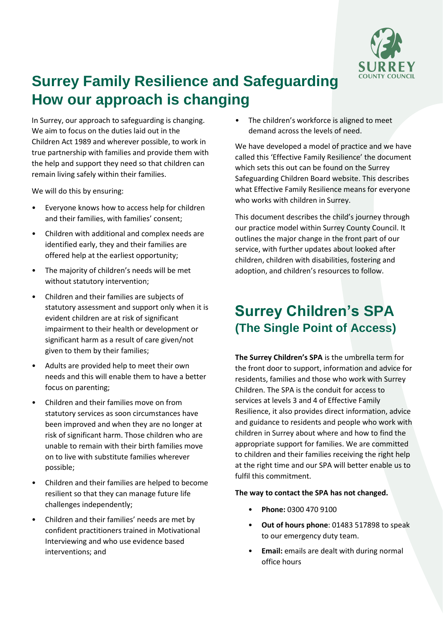

# **Surrey Family Resilience and Safeguarding How our approach is changing**

In Surrey, our approach to safeguarding is changing. We aim to focus on the duties laid out in the Children Act 1989 and wherever possible, to work in true partnership with families and provide them with the help and support they need so that children can remain living safely within their families.

We will do this by ensuring:

- Everyone knows how to access help for children and their families, with families' consent;
- Children with additional and complex needs are identified early, they and their families are offered help at the earliest opportunity;
- The majority of children's needs will be met without statutory intervention;
- Children and their families are subjects of statutory assessment and support only when it is evident children are at risk of significant impairment to their health or development or significant harm as a result of care given/not given to them by their families;
- Adults are provided help to meet their own needs and this will enable them to have a better focus on parenting;
- Children and their families move on from statutory services as soon circumstances have been improved and when they are no longer at risk of significant harm. Those children who are unable to remain with their birth families move on to live with substitute families wherever possible;
- Children and their families are helped to become resilient so that they can manage future life challenges independently;
- Children and their families' needs are met by confident practitioners trained in Motivational Interviewing and who use evidence based interventions; and

The children's workforce is aligned to meet demand across the levels of need.

We have developed a model of practice and we have called this 'Effective Family Resilience' the document which sets this out can be found on the Surrey Safeguarding Children Board website. This describes what Effective Family Resilience means for everyone who works with children in Surrey.

This document describes the child's journey through our practice model within Surrey County Council. It outlines the major change in the front part of our service, with further updates about looked after children, children with disabilities, fostering and adoption, and children's resources to follow.

## **Surrey Children's SPA (The Single Point of Access)**

**The Surrey Children's SPA** is the umbrella term for the front door to support, information and advice for residents, families and those who work with Surrey Children. The SPA is the conduit for access to services at levels 3 and 4 of Effective Family Resilience, it also provides direct information, advice and guidance to residents and people who work with children in Surrey about where and how to find the appropriate support for families. We are committed to children and their families receiving the right help at the right time and our SPA will better enable us to fulfil this commitment.

### **The way to contact the SPA has not changed.**

- **Phone:** 0300 470 9100
- **Out of hours phone**: 01483 517898 to speak to ou[r emergency duty team.](https://www.surreycc.gov.uk/social-care-and-health/concerned-for-someones-safety/out-of-hours-social-care-contacts)
- **Email:** emails are dealt with during normal office hours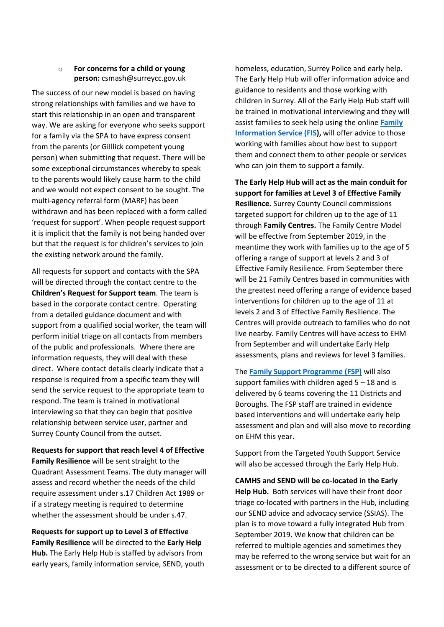#### o **For concerns for a child or young person:** csmash@surreycc.gov.uk

The success of our new model is based on having strong relationships with families and we have to start this relationship in an open and transparent way. We are asking for everyone who seeks support for a family via the SPA to have express consent from the parents (or GiIllick competent young person) when submitting that request. There will be some exceptional circumstances whereby to speak to the parents would likely cause harm to the child and we would not expect consent to be sought. The multi-agency referral form (MARF) has been withdrawn and has been replaced with a form called 'request for support'. When people request support it is implicit that the family is not being handed over but that the request is for children's services to join the existing network around the family.

All requests for support and contacts with the SPA will be directed through the contact centre to the **Children's Request for Support team**. The team is based in the corporate contact centre. Operating from a detailed guidance document and with support from a qualified social worker, the team will perform initial triage on all contacts from members of the public and professionals. Where there are information requests, they will deal with these direct. Where contact details clearly indicate that a response is required from a specific team they will send the service request to the appropriate team to respond. The team is trained in motivational interviewing so that they can begin that positive relationship between service user, partner and Surrey County Council from the outset.

### **Requests for support that reach level 4 of Effective Family Resilience** will be sent straight to the Quadrant Assessment Teams. The duty manager will assess and record whether the needs of the child require assessment under s.17 Children Act 1989 or if a strategy meeting is required to determine whether the assessment should be under s.47.

**Requests for support up to Level 3 of Effective Family Resilience** will be directed to the **Early Help Hub.** The Early Help Hub is staffed by advisors from early years, family information service, SEND, youth homeless, education, Surrey Police and early help. The Early Help Hub will offer information advice and guidance to residents and those working with children in Surrey. All of the Early Help Hub staff will be trained in motivational interviewing and they will assist families to seek help using the online **[Family](https://www.surreycc.gov.uk/people-and-community/family-information-service)  [Information Service \(FIS\)](https://www.surreycc.gov.uk/people-and-community/family-information-service),** will offer advice to those working with families about how best to support them and connect them to other people or services who can join them to support a family.

**The Early Help Hub will act as the main conduit for support for families at Level 3 of Effective Family Resilience.** Surrey County Council commissions targeted support for children up to the age of 11 through **Family Centres.** The Family Centre Model will be effective from September 2019, in the meantime they work with families up to the age of 5 offering a range of support at levels 2 and 3 of Effective Family Resilience. From September there will be 21 Family Centres based in communities with the greatest need offering a range of evidence based interventions for children up to the age of 11 at levels 2 and 3 of Effective Family Resilience. The Centres will provide outreach to families who do not live nearby. Family Centres will have access to EHM from September and will undertake Early Help assessments, plans and reviews for level 3 families.

The **[Family Support Programme \(FSP\)](https://www.surreycc.gov.uk/social-care-and-health/childrens-social-care/support-for-young-people-and-their-families/the-surrey-family-support-programme)** will also support families with children aged  $5 - 18$  and is delivered by 6 teams covering the 11 Districts and Boroughs. The FSP staff are trained in evidence based interventions and will undertake early help assessment and plan and will also move to recording on EHM this year.

Support from the Targeted Youth Support Service will also be accessed through the Early Help Hub.

**CAMHS and SEND will be co-located in the Early Help Hub.** Both services will have their front door triage co-located with partners in the Hub, including our SEND advice and advocacy service (SSIAS). The plan is to move toward a fully integrated Hub from September 2019. We know that children can be referred to multiple agencies and sometimes they may be referred to the wrong service but wait for an assessment or to be directed to a different source of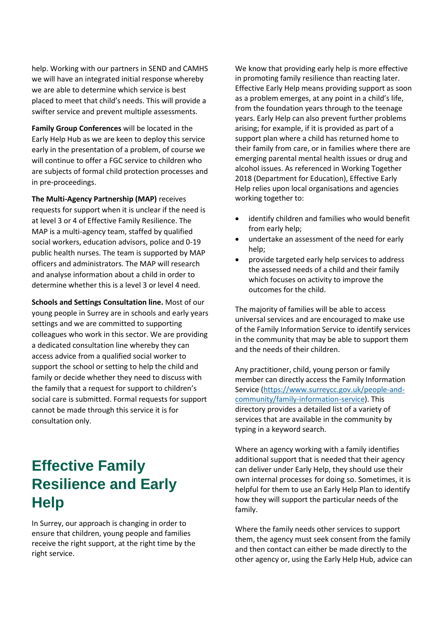help. Working with our partners in SEND and CAMHS we will have an integrated initial response whereby we are able to determine which service is best placed to meet that child's needs. This will provide a swifter service and prevent multiple assessments.

**Family Group Conferences** will be located in the Early Help Hub as we are keen to deploy this service early in the presentation of a problem, of course we will continue to offer a FGC service to children who are subjects of formal child protection processes and in pre-proceedings.

**The Multi-Agency Partnership (MAP)** receives requests for support when it is unclear if the need is at level 3 or 4 of Effective Family Resilience. The MAP is a multi-agency team, staffed by qualified social workers, education advisors, police and 0-19 public health nurses. The team is supported by MAP officers and administrators. The MAP will research and analyse information about a child in order to determine whether this is a level 3 or level 4 need.

**Schools and Settings Consultation line.** Most of our young people in Surrey are in schools and early years settings and we are committed to supporting colleagues who work in this sector. We are providing a dedicated consultation line whereby they can access advice from a qualified social worker to support the school or setting to help the child and family or decide whether they need to discuss with the family that a request for support to children's social care is submitted. Formal requests for support cannot be made through this service it is for consultation only.

# **Effective Family Resilience and Early Help**

In Surrey, our approach is changing in order to ensure that children, young people and families receive the right support, at the right time by the right service.

We know that providing early help is more effective in promoting family resilience than reacting later. Effective Early Help means providing support as soon as a problem emerges, at any point in a child's life, from the foundation years through to the teenage years. Early Help can also prevent further problems arising; for example, if it is provided as part of a support plan where a child has returned home to their family from care, or in families where there are emerging parental mental health issues or drug and alcohol issues. As referenced in Working Together 2018 (Department for Education), Effective Early Help relies upon local organisations and agencies working together to:

- identify children and families who would benefit from early help;
- undertake an assessment of the need for early help;
- provide targeted early help services to address the assessed needs of a child and their family which focuses on activity to improve the outcomes for the child.

The majority of families will be able to access universal services and are encouraged to make use of the Family Information Service to identify services in the community that may be able to support them and the needs of their children.

Any practitioner, child, young person or family member can directly access the Family Information Service [\(https://www.surreycc.gov.uk/people-and](https://www.surreycc.gov.uk/people-and-community/family-information-service)[community/family-information-service\)](https://www.surreycc.gov.uk/people-and-community/family-information-service). This directory provides a detailed list of a variety of services that are available in the community by typing in a keyword search.

Where an agency working with a family identifies additional support that is needed that their agency can deliver under Early Help, they should use their own internal processes for doing so. Sometimes, it is helpful for them to use an Early Help Plan to identify how they will support the particular needs of the family.

Where the family needs other services to support them, the agency must seek consent from the family and then contact can either be made directly to the other agency or, using the Early Help Hub, advice can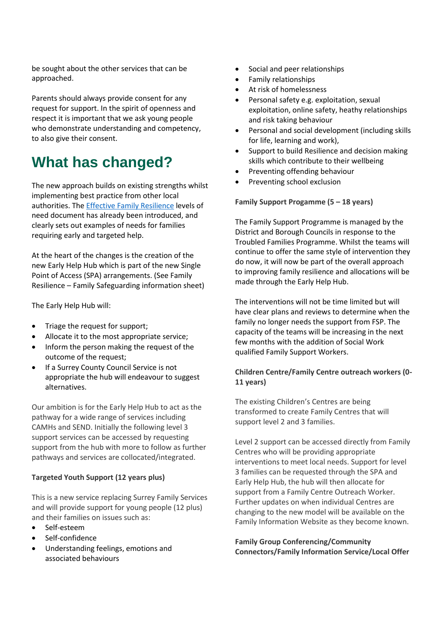be sought about the other services that can be approached.

Parents should always provide consent for any request for support. In the spirit of openness and respect it is important that we ask young people who demonstrate understanding and competency, to also give their consent.

# **What has changed?**

The new approach builds on existing strengths whilst implementing best practice from other local authorities. Th[e Effective Family Resilience](https://www.surreyscb.org.uk/wp-content/uploads/2018/12/Effective-family-resilience-SSCB-Final-March-2019.pdf) levels of need document has already been introduced, and clearly sets out examples of needs for families requiring early and targeted help.

At the heart of the changes is the creation of the new Early Help Hub which is part of the new Single Point of Access (SPA) arrangements. (See Family Resilience – Family Safeguarding information sheet)

The Early Help Hub will:

- Triage the request for support;
- Allocate it to the most appropriate service;
- Inform the person making the request of the outcome of the request;
- If a Surrey County Council Service is not appropriate the hub will endeavour to suggest alternatives.

Our ambition is for the Early Help Hub to act as the pathway for a wide range of services including CAMHs and SEND. Initially the following level 3 support services can be accessed by requesting support from the hub with more to follow as further pathways and services are collocated/integrated.

### **Targeted Youth Support (12 years plus)**

This is a new service replacing Surrey Family Services and will provide support for young people (12 plus) and their families on issues such as:

- Self-esteem
- Self-confidence
- Understanding feelings, emotions and associated behaviours
- Social and peer relationships
- Family relationships
- At risk of homelessness
- Personal safety e.g. exploitation, sexual exploitation, online safety, heathy relationships and risk taking behaviour
- Personal and social development (including skills for life, learning and work),
- Support to build Resilience and decision making skills which contribute to their wellbeing
- Preventing offending behaviour
- Preventing school exclusion

#### **Family Support Progamme (5 – 18 years)**

The Family Support Programme is managed by the District and Borough Councils in response to the Troubled Families Programme. Whilst the teams will continue to offer the same style of intervention they do now, it will now be part of the overall approach to improving family resilience and allocations will be made through the Early Help Hub.

The interventions will not be time limited but will have clear plans and reviews to determine when the family no longer needs the support from FSP. The capacity of the teams will be increasing in the next few months with the addition of Social Work qualified Family Support Workers.

### **Children Centre/Family Centre outreach workers (0- 11 years)**

The existing Children's Centres are being transformed to create Family Centres that will support level 2 and 3 families.

Level 2 support can be accessed directly from Family Centres who will be providing appropriate interventions to meet local needs. Support for level 3 families can be requested through the SPA and Early Help Hub, the hub will then allocate for support from a Family Centre Outreach Worker. Further updates on when individual Centres are changing to the new model will be available on the Family Information Website as they become known.

**Family Group Conferencing/Community Connectors/Family Information Service/Local Offer**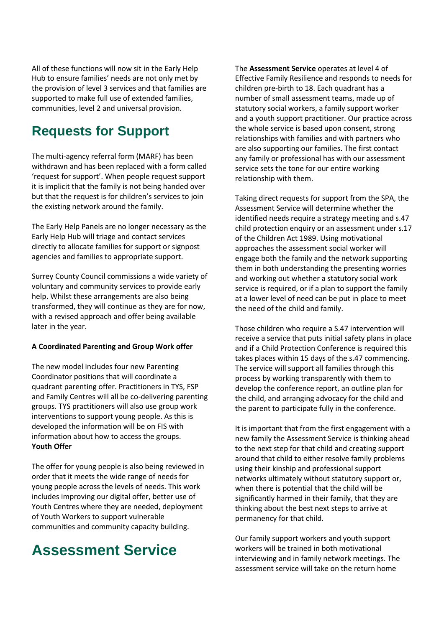All of these functions will now sit in the Early Help Hub to ensure families' needs are not only met by the provision of level 3 services and that families are supported to make full use of extended families, communities, level 2 and universal provision.

### **Requests for Support**

The multi-agency referral form (MARF) has been withdrawn and has been replaced with a form called 'request for support'. When people request support it is implicit that the family is not being handed over but that the request is for children's services to join the existing network around the family.

The Early Help Panels are no longer necessary as the Early Help Hub will triage and contact services directly to allocate families for support or signpost agencies and families to appropriate support.

Surrey County Council commissions a wide variety of voluntary and community services to provide early help. Whilst these arrangements are also being transformed, they will continue as they are for now, with a revised approach and offer being available later in the year.

#### **A Coordinated Parenting and Group Work offer**

The new model includes four new Parenting Coordinator positions that will coordinate a quadrant parenting offer. Practitioners in TYS, FSP and Family Centres will all be co-delivering parenting groups. TYS practitioners will also use group work interventions to support young people. As this is developed the information will be on FIS with information about how to access the groups. **Youth Offer**

The offer for young people is also being reviewed in order that it meets the wide range of needs for young people across the levels of needs. This work includes improving our digital offer, better use of Youth Centres where they are needed, deployment of Youth Workers to support vulnerable communities and community capacity building.

# **Assessment Service**

The **Assessment Service** operates at level 4 of Effective Family Resilience and responds to needs for children pre-birth to 18. Each quadrant has a number of small assessment teams, made up of statutory social workers, a family support worker and a youth support practitioner. Our practice across the whole service is based upon consent, strong relationships with families and with partners who are also supporting our families. The first contact any family or professional has with our assessment service sets the tone for our entire working relationship with them.

Taking direct requests for support from the SPA, the Assessment Service will determine whether the identified needs require a strategy meeting and s.47 child protection enquiry or an assessment under s.17 of the Children Act 1989. Using motivational approaches the assessment social worker will engage both the family and the network supporting them in both understanding the presenting worries and working out whether a statutory social work service is required, or if a plan to support the family at a lower level of need can be put in place to meet the need of the child and family.

Those children who require a S.47 intervention will receive a service that puts initial safety plans in place and if a Child Protection Conference is required this takes places within 15 days of the s.47 commencing. The service will support all families through this process by working transparently with them to develop the conference report, an outline plan for the child, and arranging advocacy for the child and the parent to participate fully in the conference.

It is important that from the first engagement with a new family the Assessment Service is thinking ahead to the next step for that child and creating support around that child to either resolve family problems using their kinship and professional support networks ultimately without statutory support or, when there is potential that the child will be significantly harmed in their family, that they are thinking about the best next steps to arrive at permanency for that child.

Our family support workers and youth support workers will be trained in both motivational interviewing and in family network meetings. The assessment service will take on the return home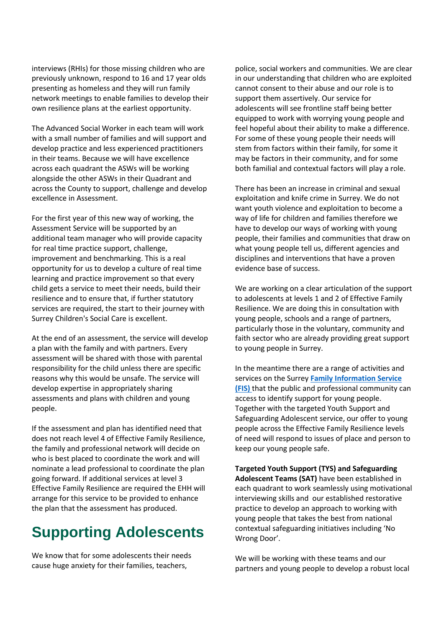interviews (RHIs) for those missing children who are previously unknown, respond to 16 and 17 year olds presenting as homeless and they will run family network meetings to enable families to develop their own resilience plans at the earliest opportunity.

The Advanced Social Worker in each team will work with a small number of families and will support and develop practice and less experienced practitioners in their teams. Because we will have excellence across each quadrant the ASWs will be working alongside the other ASWs in their Quadrant and across the County to support, challenge and develop excellence in Assessment.

For the first year of this new way of working, the Assessment Service will be supported by an additional team manager who will provide capacity for real time practice support, challenge, improvement and benchmarking. This is a real opportunity for us to develop a culture of real time learning and practice improvement so that every child gets a service to meet their needs, build their resilience and to ensure that, if further statutory services are required, the start to their journey with Surrey Children's Social Care is excellent.

At the end of an assessment, the service will develop a plan with the family and with partners. Every assessment will be shared with those with parental responsibility for the child unless there are specific reasons why this would be unsafe. The service will develop expertise in appropriately sharing assessments and plans with children and young people.

If the assessment and plan has identified need that does not reach level 4 of Effective Family Resilience, the family and professional network will decide on who is best placed to coordinate the work and will nominate a lead professional to coordinate the plan going forward. If additional services at level 3 Effective Family Resilience are required the EHH will arrange for this service to be provided to enhance the plan that the assessment has produced.

# **Supporting Adolescents**

We know that for some adolescents their needs cause huge anxiety for their families, teachers,

police, social workers and communities. We are clear in our understanding that children who are exploited cannot consent to their abuse and our role is to support them assertively. Our service for adolescents will see frontline staff being better equipped to work with worrying young people and feel hopeful about their ability to make a difference. For some of these young people their needs will stem from factors within their family, for some it may be factors in their community, and for some both familial and contextual factors will play a role.

There has been an increase in criminal and sexual exploitation and knife crime in Surrey. We do not want youth violence and exploitation to become a way of life for children and families therefore we have to develop our ways of working with young people, their families and communities that draw on what young people tell us, different agencies and disciplines and interventions that have a proven evidence base of success.

We are working on a clear articulation of the support to adolescents at levels 1 and 2 of Effective Family Resilience. We are doing this in consultation with young people, schools and a range of partners, particularly those in the voluntary, community and faith sector who are already providing great support to young people in Surrey.

In the meantime there are a range of activities and services on the Surrey **[Family Information Service](https://www.surreycc.gov.uk/people-and-community/family-information-service)  [\(FIS\)](https://www.surreycc.gov.uk/people-and-community/family-information-service)** that the public and professional community can access to identify support for young people. Together with the targeted Youth Support and Safeguarding Adolescent service, our offer to young people across the Effective Family Resilience levels of need will respond to issues of place and person to keep our young people safe.

**Targeted Youth Support (TYS) and Safeguarding Adolescent Teams (SAT)** have been established in each quadrant to work seamlessly using motivational interviewing skills and our established restorative practice to develop an approach to working with young people that takes the best from national contextual safeguarding initiatives including 'No Wrong Door'.

We will be working with these teams and our partners and young people to develop a robust local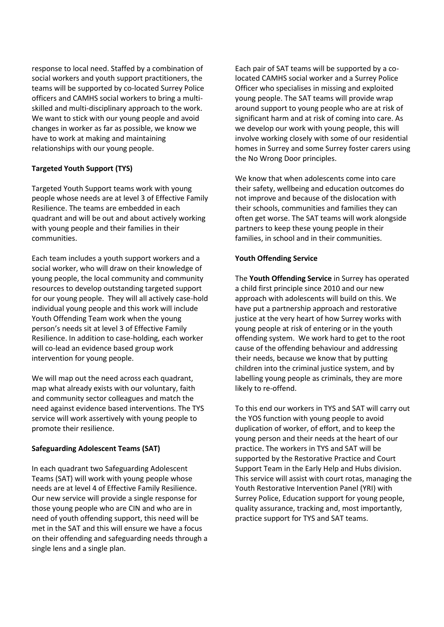response to local need. Staffed by a combination of social workers and youth support practitioners, the teams will be supported by co-located Surrey Police officers and CAMHS social workers to bring a multiskilled and multi-disciplinary approach to the work. We want to stick with our young people and avoid changes in worker as far as possible, we know we have to work at making and maintaining relationships with our young people.

#### **Targeted Youth Support (TYS)**

Targeted Youth Support teams work with young people whose needs are at level 3 of Effective Family Resilience. The teams are embedded in each quadrant and will be out and about actively working with young people and their families in their communities.

Each team includes a youth support workers and a social worker, who will draw on their knowledge of young people, the local community and community resources to develop outstanding targeted support for our young people. They will all actively case-hold individual young people and this work will include Youth Offending Team work when the young person's needs sit at level 3 of Effective Family Resilience. In addition to case-holding, each worker will co-lead an evidence based group work intervention for young people.

We will map out the need across each quadrant, map what already exists with our voluntary, faith and community sector colleagues and match the need against evidence based interventions. The TYS service will work assertively with young people to promote their resilience.

### **Safeguarding Adolescent Teams (SAT)**

In each quadrant two Safeguarding Adolescent Teams (SAT) will work with young people whose needs are at level 4 of Effective Family Resilience. Our new service will provide a single response for those young people who are CIN and who are in need of youth offending support, this need will be met in the SAT and this will ensure we have a focus on their offending and safeguarding needs through a single lens and a single plan.

Each pair of SAT teams will be supported by a colocated CAMHS social worker and a Surrey Police Officer who specialises in missing and exploited young people. The SAT teams will provide wrap around support to young people who are at risk of significant harm and at risk of coming into care. As we develop our work with young people, this will involve working closely with some of our residential homes in Surrey and some Surrey foster carers using the No Wrong Door principles.

We know that when adolescents come into care their safety, wellbeing and education outcomes do not improve and because of the dislocation with their schools, communities and families they can often get worse. The SAT teams will work alongside partners to keep these young people in their families, in school and in their communities.

#### **Youth Offending Service**

The **Youth Offending Service** in Surrey has operated a child first principle since 2010 and our new approach with adolescents will build on this. We have put a partnership approach and restorative justice at the very heart of how Surrey works with young people at risk of entering or in the youth offending system. We work hard to get to the root cause of the offending behaviour and addressing their needs, because we know that by putting children into the criminal justice system, and by labelling young people as criminals, they are more likely to re-offend.

To this end our workers in TYS and SAT will carry out the YOS function with young people to avoid duplication of worker, of effort, and to keep the young person and their needs at the heart of our practice. The workers in TYS and SAT will be supported by the Restorative Practice and Court Support Team in the Early Help and Hubs division. This service will assist with court rotas, managing the Youth Restorative Intervention Panel (YRI) with Surrey Police, Education support for young people, quality assurance, tracking and, most importantly, practice support for TYS and SAT teams.